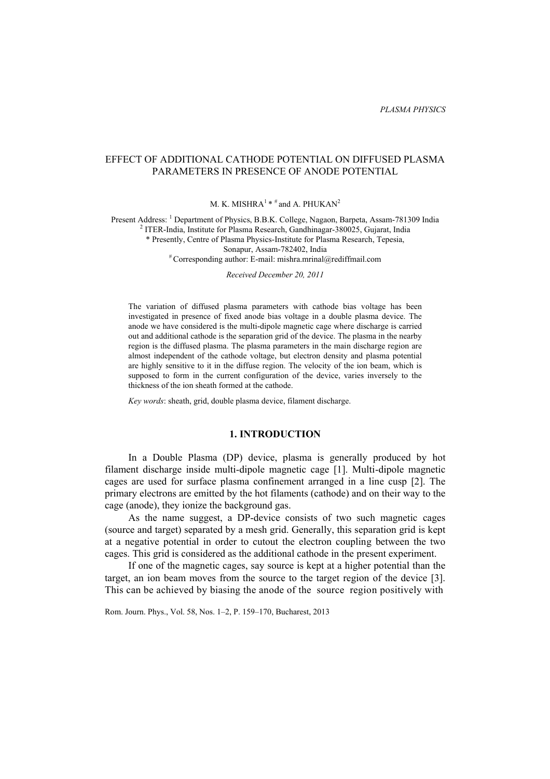# EFFECT OF ADDITIONAL CATHODE POTENTIAL ON DIFFUSED PLASMA PARAMETERS IN PRESENCE OF ANODE POTENTIAL

M. K. MISHRA<sup>1</sup> \*  $#$  and A. PHUKAN<sup>2</sup>

Present Address: <sup>1</sup> Department of Physics, B.B.K. College, Nagaon, Barpeta, Assam-781309 India <sup>2</sup> ITER India Institute for Plasma Beceareb, Gondhineser, 280025, Guierst India  $2$  ITER-India, Institute for Plasma Research, Gandhinagar-380025, Gujarat, India \* Presently, Centre of Plasma Physics-Institute for Plasma Research, Tepesia, Sonapur, Assam-782402, India # Corresponding author: E-mail: mishra.mrinal@rediffmail.com

*Received December 20, 2011* 

The variation of diffused plasma parameters with cathode bias voltage has been investigated in presence of fixed anode bias voltage in a double plasma device. The anode we have considered is the multi-dipole magnetic cage where discharge is carried out and additional cathode is the separation grid of the device. The plasma in the nearby region is the diffused plasma. The plasma parameters in the main discharge region are almost independent of the cathode voltage, but electron density and plasma potential are highly sensitive to it in the diffuse region. The velocity of the ion beam, which is supposed to form in the current configuration of the device, varies inversely to the thickness of the ion sheath formed at the cathode.

*Key words*: sheath, grid, double plasma device, filament discharge.

## **1. INTRODUCTION**

In a Double Plasma (DP) device, plasma is generally produced by hot filament discharge inside multi-dipole magnetic cage [1]. Multi-dipole magnetic cages are used for surface plasma confinement arranged in a line cusp [2]. The primary electrons are emitted by the hot filaments (cathode) and on their way to the cage (anode), they ionize the background gas.

As the name suggest, a DP-device consists of two such magnetic cages (source and target) separated by a mesh grid. Generally, this separation grid is kept at a negative potential in order to cutout the electron coupling between the two cages. This grid is considered as the additional cathode in the present experiment.

If one of the magnetic cages, say source is kept at a higher potential than the target, an ion beam moves from the source to the target region of the device [3]. This can be achieved by biasing the anode of the source region positively with

Rom. Journ. Phys., Vol. 58, Nos. 1–2, P. 159–170, Bucharest, 2013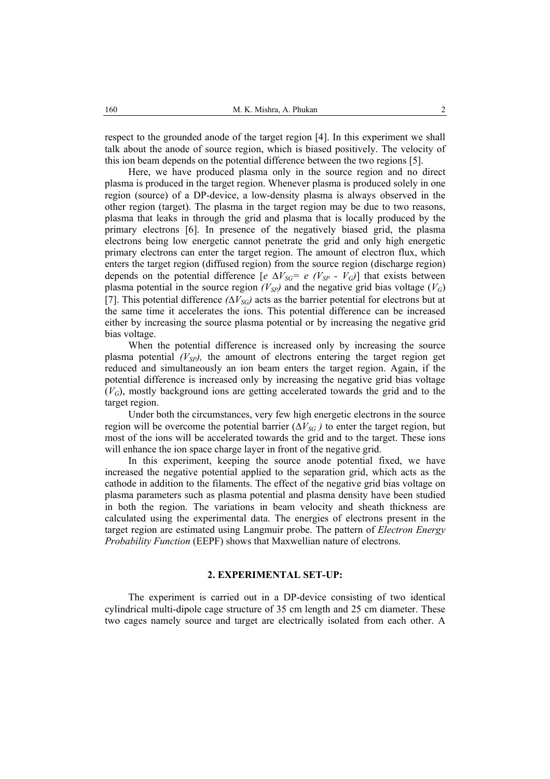respect to the grounded anode of the target region [4]. In this experiment we shall talk about the anode of source region, which is biased positively. The velocity of this ion beam depends on the potential difference between the two regions [5].

Here, we have produced plasma only in the source region and no direct plasma is produced in the target region. Whenever plasma is produced solely in one region (source) of a DP-device, a low-density plasma is always observed in the other region (target). The plasma in the target region may be due to two reasons, plasma that leaks in through the grid and plasma that is locally produced by the primary electrons [6]. In presence of the negatively biased grid, the plasma electrons being low energetic cannot penetrate the grid and only high energetic primary electrons can enter the target region. The amount of electron flux, which enters the target region (diffused region) from the source region (discharge region) depends on the potential difference  $[e \Delta V_{SG} = e (V_{SP} - V_{G})]$  that exists between plasma potential in the source region  $(V_{SP})$  and the negative grid bias voltage  $(V_G)$ [7]. This potential difference  $(\Delta V_{SG})$  acts as the barrier potential for electrons but at the same time it accelerates the ions. This potential difference can be increased either by increasing the source plasma potential or by increasing the negative grid bias voltage.

When the potential difference is increased only by increasing the source plasma potential  $(V_{SP})$ , the amount of electrons entering the target region get reduced and simultaneously an ion beam enters the target region. Again, if the potential difference is increased only by increasing the negative grid bias voltage  $(V_G)$ , mostly background ions are getting accelerated towards the grid and to the target region.

Under both the circumstances, very few high energetic electrons in the source region will be overcome the potential barrier ( $\Delta V_{SG}$ ) to enter the target region, but most of the ions will be accelerated towards the grid and to the target. These ions will enhance the ion space charge layer in front of the negative grid.

In this experiment, keeping the source anode potential fixed, we have increased the negative potential applied to the separation grid, which acts as the cathode in addition to the filaments. The effect of the negative grid bias voltage on plasma parameters such as plasma potential and plasma density have been studied in both the region. The variations in beam velocity and sheath thickness are calculated using the experimental data. The energies of electrons present in the target region are estimated using Langmuir probe. The pattern of *Electron Energy Probability Function* (EEPF) shows that Maxwellian nature of electrons.

## **2. EXPERIMENTAL SET-UP:**

The experiment is carried out in a DP-device consisting of two identical cylindrical multi-dipole cage structure of 35 cm length and 25 cm diameter. These two cages namely source and target are electrically isolated from each other. A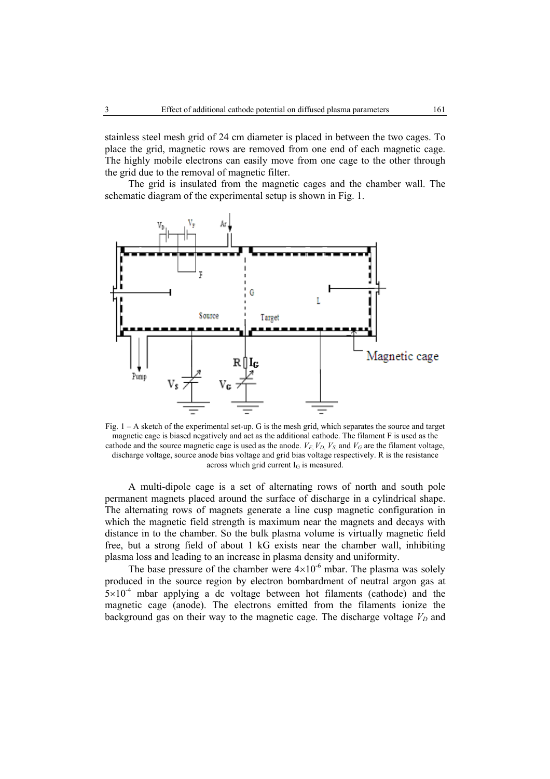stainless steel mesh grid of 24 cm diameter is placed in between the two cages. To place the grid, magnetic rows are removed from one end of each magnetic cage. The highly mobile electrons can easily move from one cage to the other through the grid due to the removal of magnetic filter.

The grid is insulated from the magnetic cages and the chamber wall. The schematic diagram of the experimental setup is shown in Fig. 1.



Fig. 1 – A sketch of the experimental set-up. G is the mesh grid, which separates the source and target magnetic cage is biased negatively and act as the additional cathode. The filament F is used as the cathode and the source magnetic cage is used as the anode.  $V_F$ ,  $V_D$ ,  $V_S$ , and  $V_G$  are the filament voltage, discharge voltage, source anode bias voltage and grid bias voltage respectively. R is the resistance across which grid current  $I_G$  is measured.

A multi-dipole cage is a set of alternating rows of north and south pole permanent magnets placed around the surface of discharge in a cylindrical shape. The alternating rows of magnets generate a line cusp magnetic configuration in which the magnetic field strength is maximum near the magnets and decays with distance in to the chamber. So the bulk plasma volume is virtually magnetic field free, but a strong field of about 1 kG exists near the chamber wall, inhibiting plasma loss and leading to an increase in plasma density and uniformity.

The base pressure of the chamber were  $4 \times 10^{-6}$  mbar. The plasma was solely produced in the source region by electron bombardment of neutral argon gas at  $5\times10^{-4}$  mbar applying a dc voltage between hot filaments (cathode) and the magnetic cage (anode). The electrons emitted from the filaments ionize the background gas on their way to the magnetic cage. The discharge voltage  $V_D$  and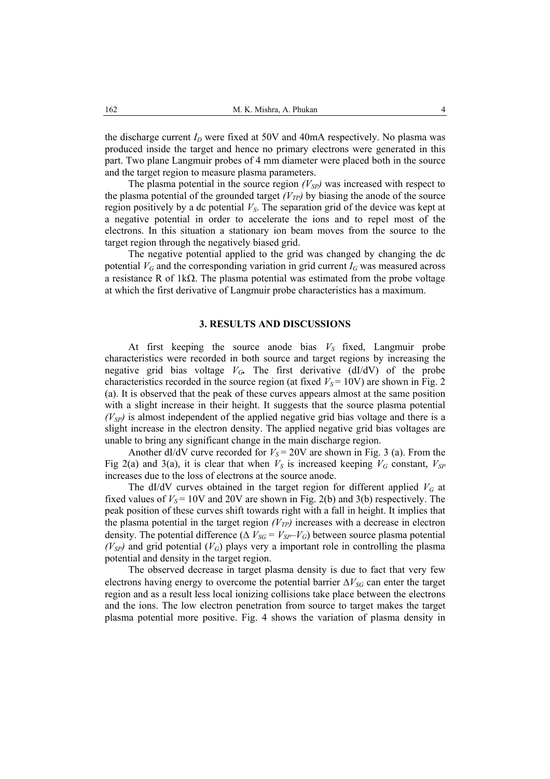the discharge current  $I_D$  were fixed at 50V and 40mA respectively. No plasma was produced inside the target and hence no primary electrons were generated in this part. Two plane Langmuir probes of 4 mm diameter were placed both in the source and the target region to measure plasma parameters.

The plasma potential in the source region  $(V_{SP})$  was increased with respect to the plasma potential of the grounded target  $(V_{TP})$  by biasing the anode of the source region positively by a dc potential  $V<sub>S</sub>$ . The separation grid of the device was kept at a negative potential in order to accelerate the ions and to repel most of the electrons. In this situation a stationary ion beam moves from the source to the target region through the negatively biased grid.

The negative potential applied to the grid was changed by changing the dc potential  $V_G$  and the corresponding variation in grid current  $I_G$  was measured across a resistance R of 1kΩ. The plasma potential was estimated from the probe voltage at which the first derivative of Langmuir probe characteristics has a maximum.

### **3. RESULTS AND DISCUSSIONS**

At first keeping the source anode bias  $V<sub>S</sub>$  fixed, Langmuir probe characteristics were recorded in both source and target regions by increasing the negative grid bias voltage  $V_G$ . The first derivative (dI/dV) of the probe characteristics recorded in the source region (at fixed  $V_s$  = 10V) are shown in Fig. 2 (a). It is observed that the peak of these curves appears almost at the same position with a slight increase in their height. It suggests that the source plasma potential  $(V_{SP})$  is almost independent of the applied negative grid bias voltage and there is a slight increase in the electron density. The applied negative grid bias voltages are unable to bring any significant change in the main discharge region.

Another dI/dV curve recorded for  $V_s = 20V$  are shown in Fig. 3 (a). From the Fig 2(a) and 3(a), it is clear that when  $V_S$  is increased keeping  $V_G$  constant,  $V_{SP}$ increases due to the loss of electrons at the source anode.

The dI/dV curves obtained in the target region for different applied  $V_G$  at fixed values of  $V_s$  = 10V and 20V are shown in Fig. 2(b) and 3(b) respectively. The peak position of these curves shift towards right with a fall in height. It implies that the plasma potential in the target region  $(V_{TP})$  increases with a decrease in electron density. The potential difference ( $\Delta V_{SG} = V_{SP} - V_G$ ) between source plasma potential  $(V_{SP})$  and grid potential  $(V_G)$  plays very a important role in controlling the plasma potential and density in the target region.

The observed decrease in target plasma density is due to fact that very few electrons having energy to overcome the potential barrier  $\Delta V_{SG}$  can enter the target region and as a result less local ionizing collisions take place between the electrons and the ions. The low electron penetration from source to target makes the target plasma potential more positive. Fig. 4 shows the variation of plasma density in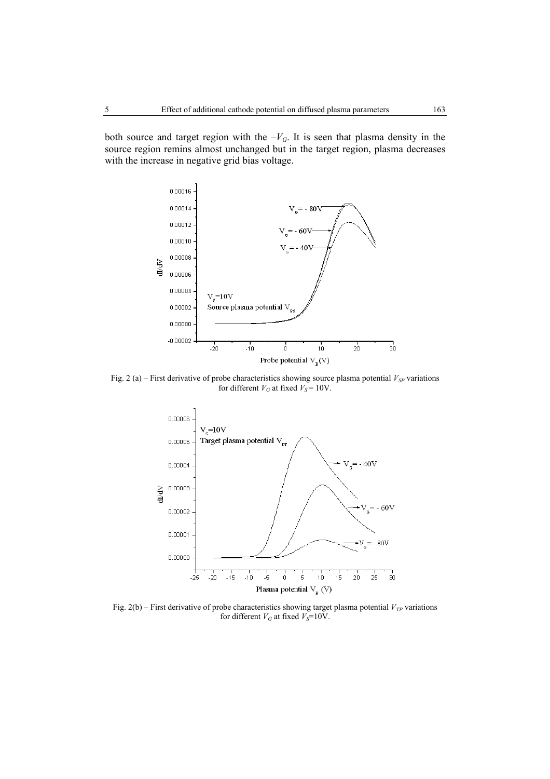both source and target region with the  $-V<sub>G</sub>$ . It is seen that plasma density in the source region remins almost unchanged but in the target region, plasma decreases with the increase in negative grid bias voltage.



Fig. 2 (a) – First derivative of probe characteristics showing source plasma potential  $V_{SP}$  variations for different  $V_G$  at fixed  $V_S = 10V$ .



Fig. 2(b) – First derivative of probe characteristics showing target plasma potential  $V_{TP}$  variations for different  $V_G$  at fixed  $V_S = 10V$ .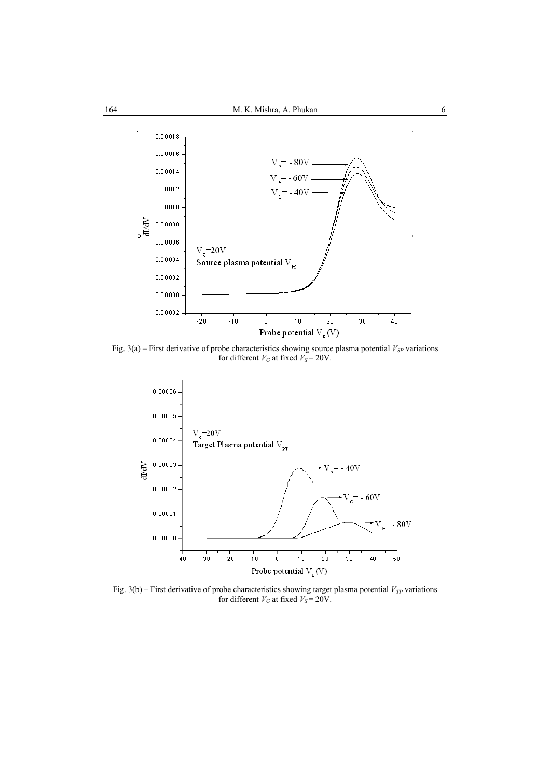

Fig. 3(a) – First derivative of probe characteristics showing source plasma potential  $V_{SP}$  variations for different  $V_G$  at fixed  $V_S = 20V$ .



Fig. 3(b) – First derivative of probe characteristics showing target plasma potential  $V_{TP}$  variations for different  $V_G$  at fixed  $V_S = 20V$ .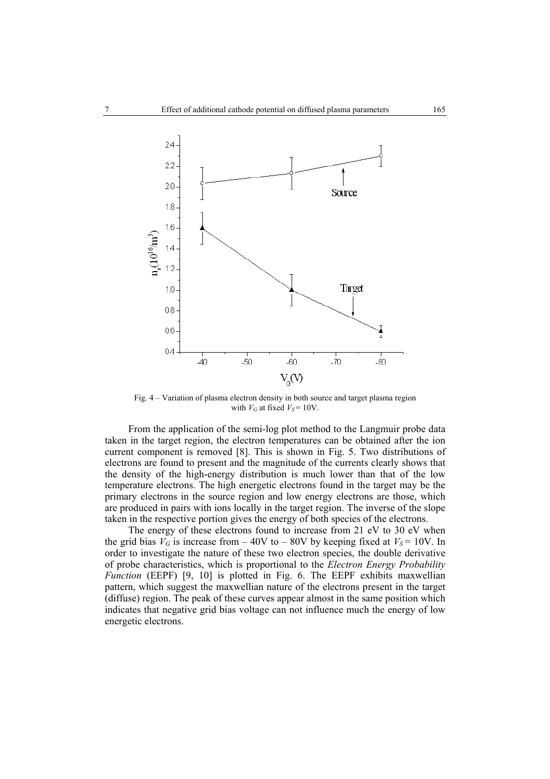

Fig. 4 – Variation of plasma electron density in both source and target plasma region with  $V_G$  at fixed  $V_S = 10V$ .

From the application of the semi-log plot method to the Langmuir probe data taken in the target region, the electron temperatures can be obtained after the ion current component is removed [8]. This is shown in Fig. 5. Two distributions of electrons are found to present and the magnitude of the currents clearly shows that the density of the high-energy distribution is much lower than that of the low temperature electrons. The high energetic electrons found in the target may be the primary electrons in the source region and low energy electrons are those, which are produced in pairs with ions locally in the target region. The inverse of the slope taken in the respective portion gives the energy of both species of the electrons.

The energy of these electrons found to increase from 21 eV to 30 eV when the grid bias  $V_G$  is increase from  $-40V$  to  $-80V$  by keeping fixed at  $V_S = 10V$ . In order to investigate the nature of these two electron species, the double derivative of probe characteristics, which is proportional to the *Electron Energy Probability Function* (EEPF) [9, 10] is plotted in Fig. 6. The EEPF exhibits maxwellian pattern, which suggest the maxwellian nature of the electrons present in the target (diffuse) region. The peak of these curves appear almost in the same position which indicates that negative grid bias voltage can not influence much the energy of low energetic electrons.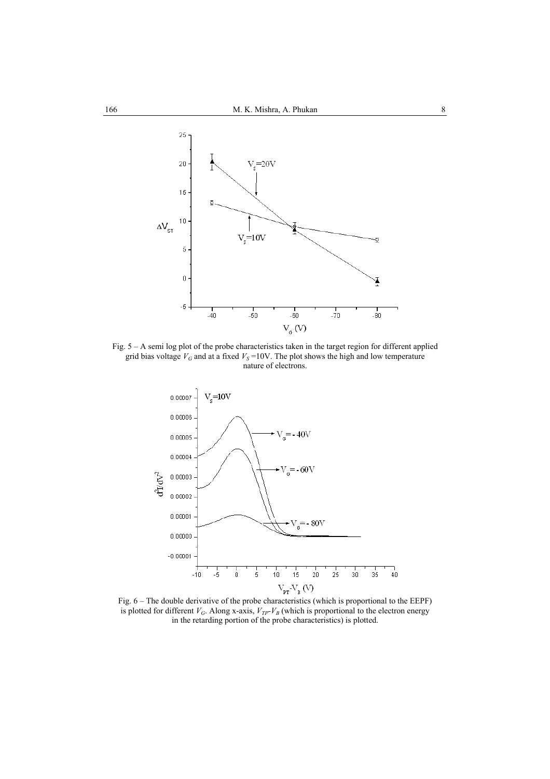

Fig. 5 – A semi log plot of the probe characteristics taken in the target region for different applied grid bias voltage  $V_G$  and at a fixed  $V_S$ =10V. The plot shows the high and low temperature nature of electrons.



Fig. 6 – The double derivative of the probe characteristics (which is proportional to the EEPF) is plotted for different  $V_G$ . Along x-axis,  $V_{TP}$ - $V_B$  (which is proportional to the electron energy in the retarding portion of the probe characteristics) is plotted.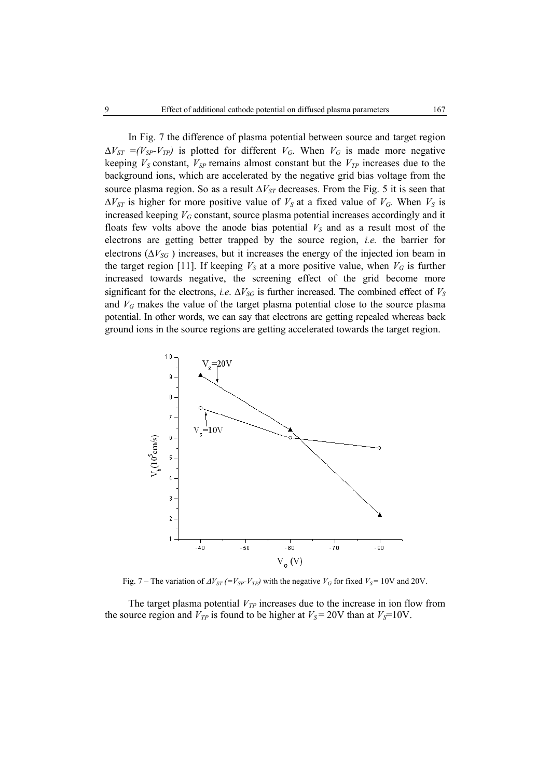In Fig. 7 the difference of plasma potential between source and target region  $\Delta V_{ST} = (V_{SP} - V_{TP})$  is plotted for different  $V_G$ . When  $V_G$  is made more negative keeping  $V_S$  constant,  $V_{SP}$  remains almost constant but the  $V_{TP}$  increases due to the background ions, which are accelerated by the negative grid bias voltage from the source plasma region. So as a result  $\Delta V_{ST}$  decreases. From the Fig. 5 it is seen that  $\Delta V_{ST}$  is higher for more positive value of  $V_S$  at a fixed value of  $V_G$ . When  $V_S$  is increased keeping  $V_G$  constant, source plasma potential increases accordingly and it floats few volts above the anode bias potential  $V_S$  and as a result most of the electrons are getting better trapped by the source region, *i.e.* the barrier for electrons ( $\Delta V_{SG}$ ) increases, but it increases the energy of the injected ion beam in the target region [11]. If keeping  $V_S$  at a more positive value, when  $V_G$  is further increased towards negative, the screening effect of the grid become more significant for the electrons, *i.e.*  $\Delta V_{SG}$  is further increased. The combined effect of  $V_S$ and  $V_G$  makes the value of the target plasma potential close to the source plasma potential. In other words, we can say that electrons are getting repealed whereas back ground ions in the source regions are getting accelerated towards the target region.



Fig. 7 – The variation of  $\Delta V_{ST}$  (= $V_{SP}$ - $V_{TP}$ ) with the negative  $V_G$  for fixed  $V_S$ = 10V and 20V.

The target plasma potential  $V_{TP}$  increases due to the increase in ion flow from the source region and  $V_{TP}$  is found to be higher at  $V_S = 20V$  than at  $V_S = 10V$ .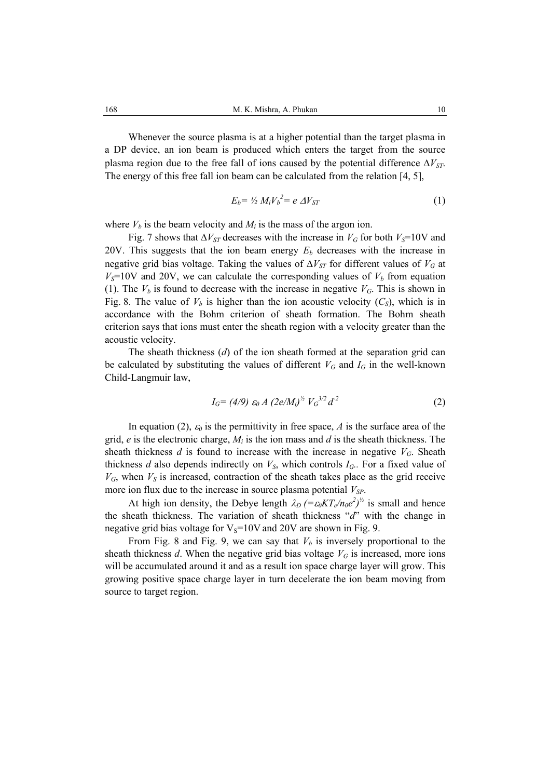Whenever the source plasma is at a higher potential than the target plasma in a DP device, an ion beam is produced which enters the target from the source plasma region due to the free fall of ions caused by the potential difference  $\Delta V_{ST}$ . The energy of this free fall ion beam can be calculated from the relation [4, 5],

$$
E_b = \frac{1}{2} M_i V_b^2 = e \Delta V_{ST}
$$
 (1)

where  $V_b$  is the beam velocity and  $M_i$  is the mass of the argon ion.

Fig. 7 shows that  $\Delta V_{ST}$  decreases with the increase in  $V_G$  for both  $V_S$ =10V and 20V. This suggests that the ion beam energy  $E<sub>b</sub>$  decreases with the increase in negative grid bias voltage. Taking the values of  $\Delta V_{ST}$  for different values of  $V_G$  at  $V<sub>S</sub>=10V$  and 20V, we can calculate the corresponding values of  $V<sub>b</sub>$  from equation (1). The  $V_b$  is found to decrease with the increase in negative  $V_c$ . This is shown in Fig. 8. The value of  $V_b$  is higher than the ion acoustic velocity  $(C_s)$ , which is in accordance with the Bohm criterion of sheath formation. The Bohm sheath criterion says that ions must enter the sheath region with a velocity greater than the acoustic velocity.

The sheath thickness (*d*) of the ion sheath formed at the separation grid can be calculated by substituting the values of different  $V_G$  and  $I_G$  in the well-known Child-Langmuir law,

$$
I_G = (4/9) \varepsilon_0 A \ (2e/M_i)^{1/2} V_G^{-3/2} d^{-2} \tag{2}
$$

In equation (2),  $\varepsilon_0$  is the permittivity in free space, *A* is the surface area of the grid, *e* is the electronic charge, *Mi* is the ion mass and *d* is the sheath thickness. The sheath thickness *d* is found to increase with the increase in negative  $V_G$ . Sheath thickness *d* also depends indirectly on  $V_s$ , which controls  $I_c$ . For a fixed value of  $V_G$ , when  $V_S$  is increased, contraction of the sheath takes place as the grid receive more ion flux due to the increase in source plasma potential  $V_{SP}$ .

At high ion density, the Debye length  $\lambda_D$  (= $\varepsilon_0 KT_e/n_0e^2$ )<sup>1/2</sup> is small and hence the sheath thickness. The variation of sheath thickness "*d*" with the change in negative grid bias voltage for  $V_s=10V$  and 20V are shown in Fig. 9.

From Fig. 8 and Fig. 9, we can say that  $V_b$  is inversely proportional to the sheath thickness  $d$ . When the negative grid bias voltage  $V_G$  is increased, more ions will be accumulated around it and as a result ion space charge layer will grow. This growing positive space charge layer in turn decelerate the ion beam moving from source to target region.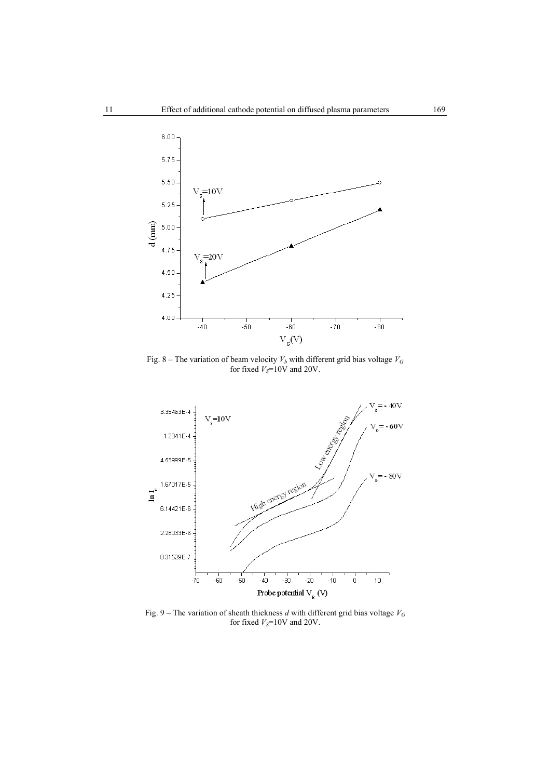

Fig. 8 – The variation of beam velocity  $V_b$  with different grid bias voltage  $V_G$ for fixed  $V_S$ =10V and 20V.



Fig. 9 – The variation of sheath thickness *d* with different grid bias voltage *VG* for fixed  $V_S$ =10V and 20V.